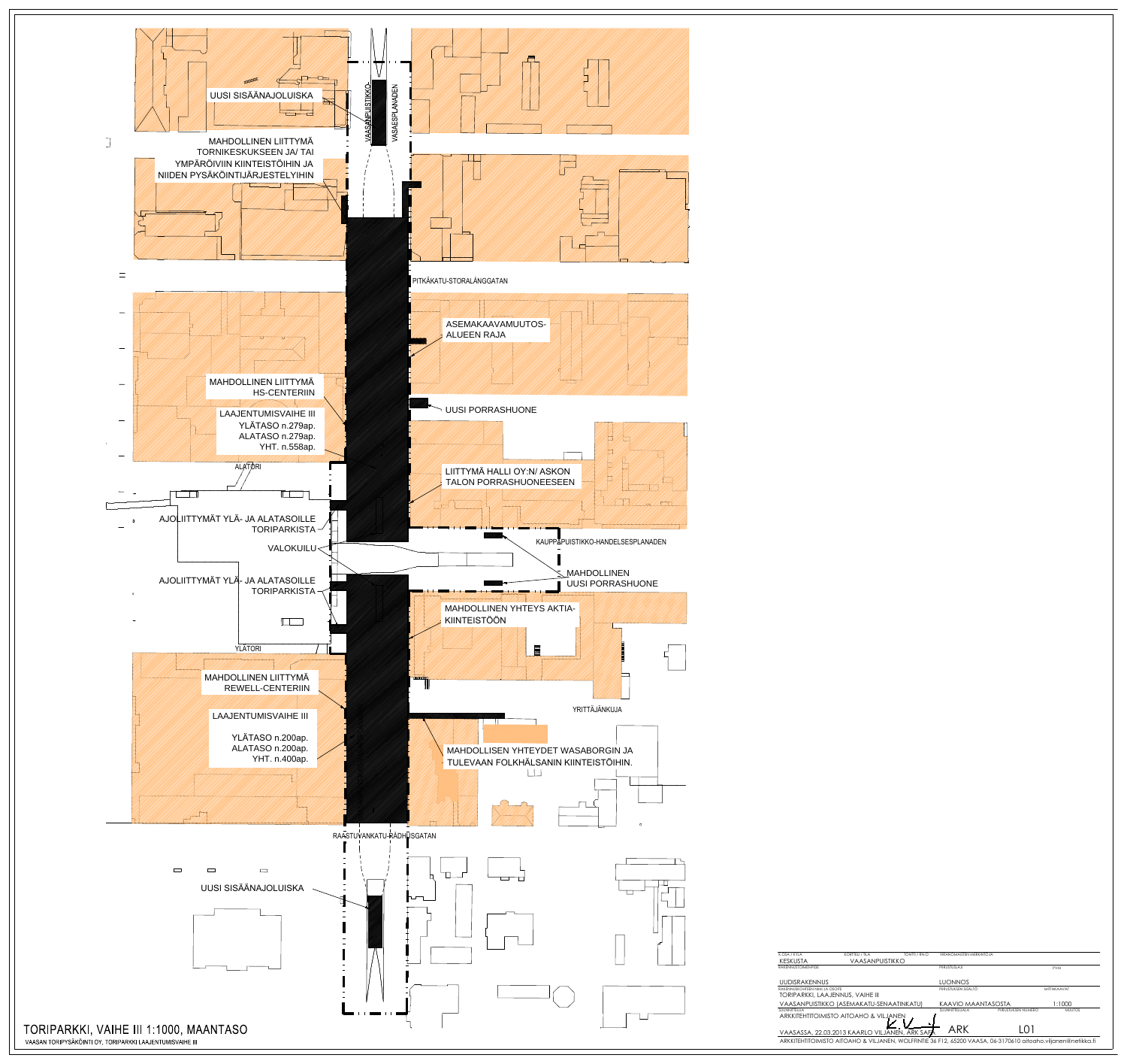



| K.OSA / KYLÄ              | <b>KORTTELI / TILA</b>                                                                                        | TONTTI / RN:O | VIRANOMAISTEN MERKINTÖJÄ |                     |               |  |
|---------------------------|---------------------------------------------------------------------------------------------------------------|---------------|--------------------------|---------------------|---------------|--|
| <b>KESKUSTA</b>           | VAASANPUISTIKKO                                                                                               |               |                          |                     |               |  |
| <b>RAKENNUSTOIMENPIDE</b> |                                                                                                               |               | PIIRUSTUSLAJI            |                     | <b>PVM</b>    |  |
| UUDISRAKENNUS             |                                                                                                               |               | <b>LUONNOS</b>           |                     |               |  |
|                           | RAKENNUSKOHTEEN NIMLIA OSOITE                                                                                 |               | PIIRUSTUKSEN SISÄLTÖ     |                     | MITTAKAAVAT   |  |
|                           | TORIPARKKI, LAAJENNUS, VAIHE III                                                                              |               |                          |                     |               |  |
|                           | VAASANPUISTIKKO (ASEMAKATU-SENAATINKATU)                                                                      |               | KAAVIO MAANTASOSTA       |                     | 1:1000        |  |
| SUUNNITTELIJA             |                                                                                                               |               | SUUNNITTELUALA           | PIIRUSTUKSEN NUMERO | <b>MUUTOS</b> |  |
|                           | ARKKITEHTITOIMISTO AITOAHO & VILJANEN                                                                         |               |                          |                     |               |  |
|                           | VAASASSA, 22.03.2013 KAARLO VILJANEN, ARK SAFA                                                                |               | ARK                      | I O 1               |               |  |
|                           | ARKKITEHTITOIMISTO AITOAHO & VILJANEN, WOLFFINTIE 36 F12, 65200 VAASA, 06-3170610 aitoaho.viljanen@netikka.fi |               |                          |                     |               |  |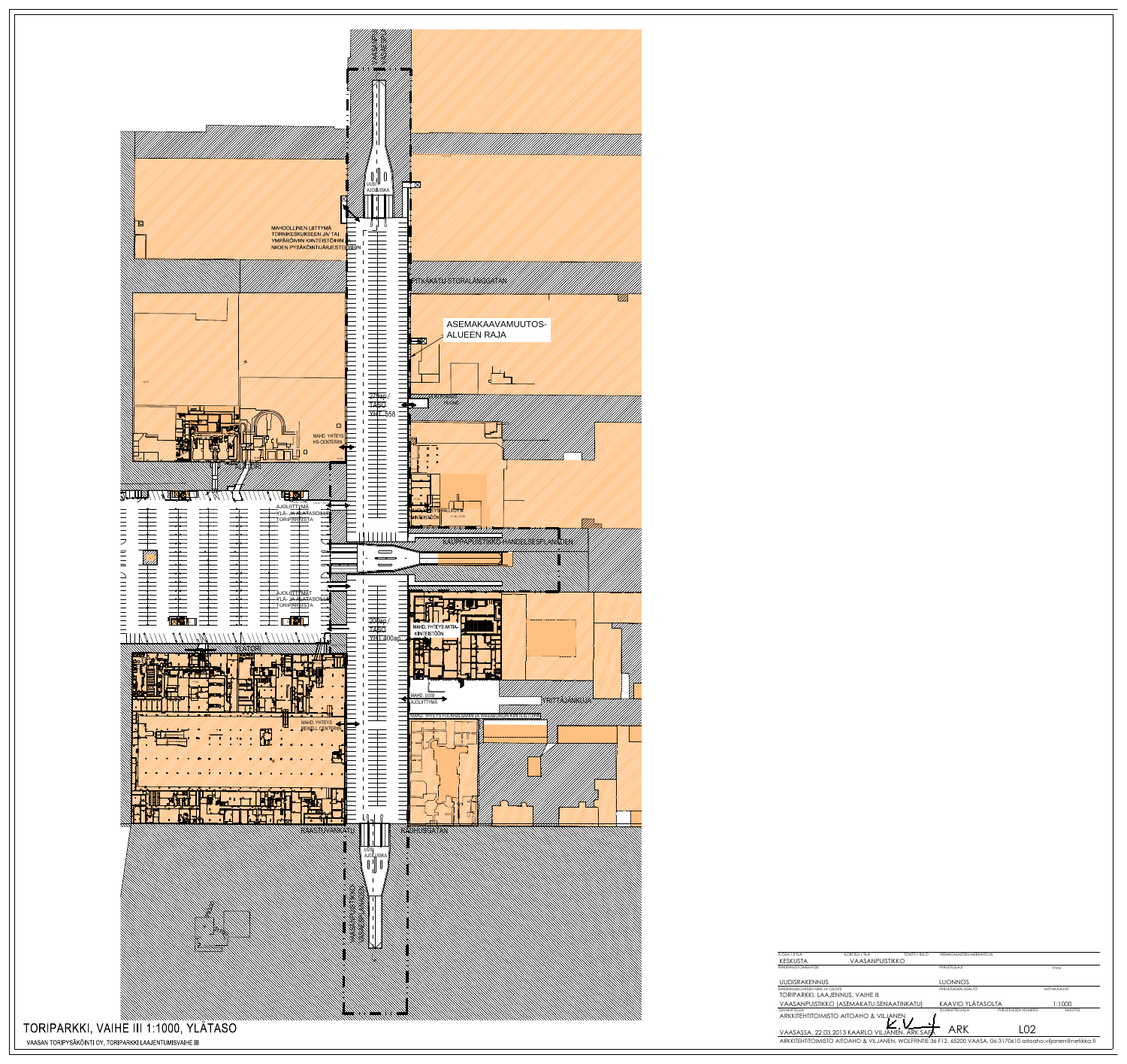

VIA

| KESKUSTA                                                                                                      | VAASANPUISTIKKO                                |                      |                     |               |  |
|---------------------------------------------------------------------------------------------------------------|------------------------------------------------|----------------------|---------------------|---------------|--|
| <b>RAKENNUSTOIMENPIDE</b>                                                                                     |                                                | PIIRUSTUSLAJI        |                     | <b>PVM</b>    |  |
|                                                                                                               |                                                |                      |                     |               |  |
| <b>UUDISRAKENNUS</b>                                                                                          |                                                | <b>LUONNOS</b>       |                     |               |  |
| RAKENNUSKOHTEEN NIMI JA OSOITE                                                                                |                                                | PIIRUSTUKSEN SISÄLTÖ |                     | MITTAKAAVAT   |  |
| TORIPARKKI, LAAJENNUS, VAIHE III                                                                              |                                                |                      |                     |               |  |
|                                                                                                               | VAASANPUISTIKKO (ASEMAKATU-SENAATINKATU)       | KAAVIO YLÄTASOLTA    |                     | 1:1000        |  |
| SUUNNITTEI IJA                                                                                                |                                                | SUUNNITTELUALA       | PIIRUSTUKSEN NUMERO | <b>MUUTOS</b> |  |
| ARKKITEHTITOIMISTO AITOAHO & VILJANEN                                                                         |                                                |                      |                     |               |  |
|                                                                                                               |                                                |                      |                     |               |  |
|                                                                                                               | VAASASSA, 22.03.2013 KAARLO VILJANEN, ARK SAFA | ARK                  | $\Omega$            |               |  |
| ARKKITEHTITOIMISTO AITOAHO & VILJANEN, WOLFFINTIE 36 F12, 65200 VAASA, 06-3170610 aitoaho.viljanen@netikka.fi |                                                |                      |                     |               |  |
|                                                                                                               |                                                |                      |                     |               |  |

**VIRANOMAISTEN MERKINTÖJÄ** 

TONTTI / RN:O

K.OSA / KYLÄ

KORTTELI / TILA